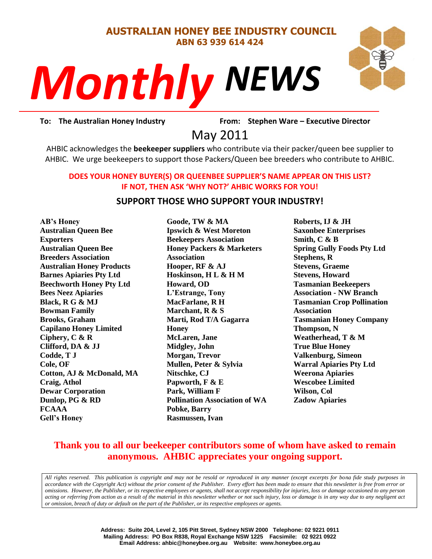#### **AUSTRALIAN HONEY BEE INDUSTRY COUNCIL ABN 63 939 614 424**

# *NEWS Monthly*



rom: Stephe<br>2011 **To: The Australian Honey Industry From: Stephen Ware – Executive Director**

May 2011

AHBIC acknowledges the **beekeeper suppliers** who contribute via their packer/queen bee supplier to AHBIC. We urge beekeepers to support those Packers/Queen bee breeders who contribute to AHBIC.

#### **DOES YOUR HONEY BUYER(S) OR QUEENBEE SUPPLIER'S NAME APPEAR ON THIS LIST? IF NOT, THEN ASK 'WHY NOT?' AHBIC WORKS FOR YOU!**

#### **SUPPORT THOSE WHO SUPPORT YOUR INDUSTRY!**

**AB's Honey Australian Queen Bee Exporters Australian Queen Bee Breeders Association Australian Honey Products Barnes Apiaries Pty Ltd Beechworth Honey Pty Ltd Bees Neez Apiaries Black, R G & MJ Bowman Family Brooks, Graham Capilano Honey Limited Ciphery, C & R Clifford, DA & JJ Codde, T J Cole, OF Cotton, AJ & McDonald, MA Craig, Athol Dewar Corporation Dunlop, PG & RD FCAAA Gell's Honey**

**Goode, TW & MA Ipswich & West Moreton Beekeepers Association Honey Packers & Marketers Association Hooper, RF & AJ Hoskinson, H L & H M Howard, OD L'Estrange, Tony MacFarlane, R H Marchant, R & S Marti, Rod T/A Gagarra Honey McLaren, Jane Midgley, John Morgan, Trevor Mullen, Peter & Sylvia Nitschke, CJ Papworth, F & E Park, William F Pollination Association of WA Pobke, Barry Rasmussen, Ivan**

**Roberts, IJ & JH Saxonbee Enterprises Smith, C & B Spring Gully Foods Pty Ltd Stephens, R Stevens, Graeme Stevens, Howard Tasmanian Beekeepers Association - NW Branch Tasmanian Crop Pollination Association Tasmanian Honey Company Thompson, N Weatherhead, T & M True Blue Honey Valkenburg, Simeon Warral Apiaries Pty Ltd Weerona Apiaries Wescobee Limited Wilson, Col Zadow Apiaries**

## **Thank you to all our beekeeper contributors some of whom have asked to remain anonymous. AHBIC appreciates your ongoing support.**

*All rights reserved. This publication is copyright and may not be resold or reproduced in any manner (except excerpts for bona fide study purposes in accordance with the Copyright Act) without the prior consent of the Publisher. Every effort has been made to ensure that this newsletter is free from error or omissions. However, the Publisher, or its respective employees or agents, shall not accept responsibility for injuries, loss or damage occasioned to any person acting or referring from action as a result of the material in this newsletter whether or not such injury, loss or damage is in any way due to any negligent act or omission, breach of duty or default on the part of the Publisher, or its respective employees or agents.*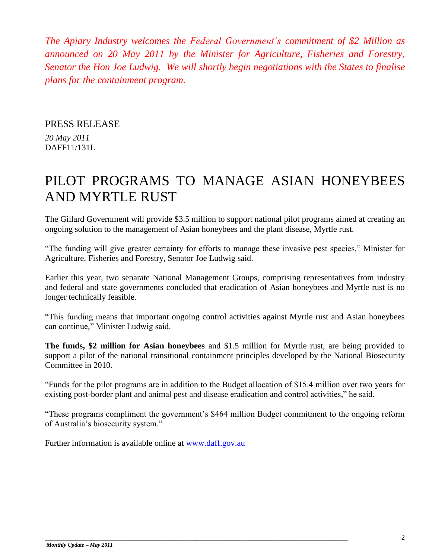*The Apiary Industry welcomes the Federal Government's commitment of \$2 Million as announced on 20 May 2011 by the Minister for Agriculture, Fisheries and Forestry, Senator the Hon Joe Ludwig. We will shortly begin negotiations with the States to finalise plans for the containment program.* 

#### PRESS RELEASE

*20 May 2011* DAFF11/131L

# PILOT PROGRAMS TO MANAGE ASIAN HONEYBEES AND MYRTLE RUST

The Gillard Government will provide \$3.5 million to support national pilot programs aimed at creating an ongoing solution to the management of Asian honeybees and the plant disease, Myrtle rust.

"The funding will give greater certainty for efforts to manage these invasive pest species," Minister for Agriculture, Fisheries and Forestry, Senator Joe Ludwig said.

Earlier this year, two separate National Management Groups, comprising representatives from industry and federal and state governments concluded that eradication of Asian honeybees and Myrtle rust is no longer technically feasible.

"This funding means that important ongoing control activities against Myrtle rust and Asian honeybees can continue," Minister Ludwig said.

**The funds, \$2 million for Asian honeybees** and \$1.5 million for Myrtle rust, are being provided to support a pilot of the national transitional containment principles developed by the National Biosecurity Committee in 2010.

"Funds for the pilot programs are in addition to the Budget allocation of \$15.4 million over two years for existing post-border plant and animal pest and disease eradication and control activities," he said.

"These programs compliment the government"s \$464 million Budget commitment to the ongoing reform of Australia"s biosecurity system."

Further information is available online at [www.daff.gov.au](http://www.daff.gov.au/)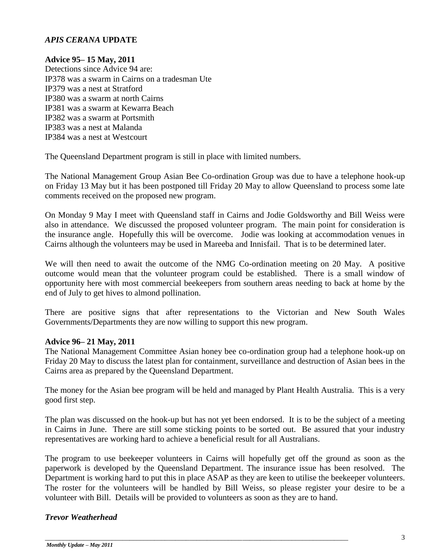#### *APIS CERANA* **UPDATE**

#### **Advice 95– 15 May, 2011**

Detections since Advice 94 are: IP378 was a swarm in Cairns on a tradesman Ute IP379 was a nest at Stratford IP380 was a swarm at north Cairns IP381 was a swarm at Kewarra Beach IP382 was a swarm at Portsmith IP383 was a nest at Malanda IP384 was a nest at Westcourt

The Queensland Department program is still in place with limited numbers.

The National Management Group Asian Bee Co-ordination Group was due to have a telephone hook-up on Friday 13 May but it has been postponed till Friday 20 May to allow Queensland to process some late comments received on the proposed new program.

On Monday 9 May I meet with Queensland staff in Cairns and Jodie Goldsworthy and Bill Weiss were also in attendance. We discussed the proposed volunteer program. The main point for consideration is the insurance angle. Hopefully this will be overcome. Jodie was looking at accommodation venues in Cairns although the volunteers may be used in Mareeba and Innisfail. That is to be determined later.

We will then need to await the outcome of the NMG Co-ordination meeting on 20 May. A positive outcome would mean that the volunteer program could be established. There is a small window of opportunity here with most commercial beekeepers from southern areas needing to back at home by the end of July to get hives to almond pollination.

There are positive signs that after representations to the Victorian and New South Wales Governments/Departments they are now willing to support this new program.

#### **Advice 96– 21 May, 2011**

The National Management Committee Asian honey bee co-ordination group had a telephone hook-up on Friday 20 May to discuss the latest plan for containment, surveillance and destruction of Asian bees in the Cairns area as prepared by the Queensland Department.

The money for the Asian bee program will be held and managed by Plant Health Australia. This is a very good first step.

The plan was discussed on the hook-up but has not yet been endorsed. It is to be the subject of a meeting in Cairns in June. There are still some sticking points to be sorted out. Be assured that your industry representatives are working hard to achieve a beneficial result for all Australians.

The program to use beekeeper volunteers in Cairns will hopefully get off the ground as soon as the paperwork is developed by the Queensland Department. The insurance issue has been resolved. The Department is working hard to put this in place ASAP as they are keen to utilise the beekeeper volunteers. The roster for the volunteers will be handled by Bill Weiss, so please register your desire to be a volunteer with Bill. Details will be provided to volunteers as soon as they are to hand.

\_\_\_\_\_\_\_\_\_\_\_\_\_\_\_\_\_\_\_\_\_\_\_\_\_\_\_\_\_\_\_\_\_\_\_\_\_\_\_\_\_\_\_\_\_\_\_\_\_\_\_\_\_\_\_\_\_\_\_\_\_\_\_\_\_\_\_\_\_\_\_\_\_\_\_\_\_\_\_\_\_\_\_\_\_\_

#### *Trevor Weatherhead*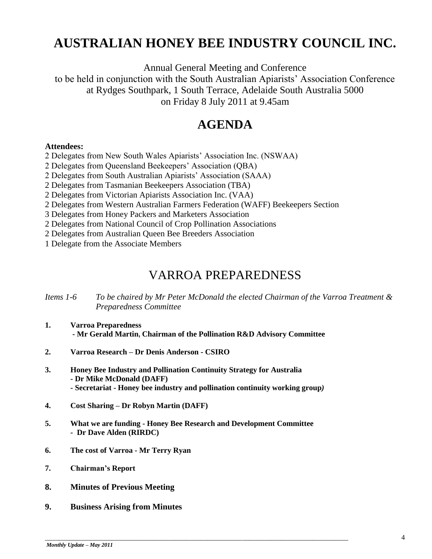# **AUSTRALIAN HONEY BEE INDUSTRY COUNCIL INC.**

Annual General Meeting and Conference to be held in conjunction with the South Australian Apiarists" Association Conference at Rydges Southpark, 1 South Terrace, Adelaide South Australia 5000 on Friday 8 July 2011 at 9.45am

# **AGENDA**

#### **Attendees:**

2 Delegates from New South Wales Apiarists" Association Inc. (NSWAA)

- 2 Delegates from Queensland Beekeepers" Association (QBA)
- 2 Delegates from South Australian Apiarists" Association (SAAA)
- 2 Delegates from Tasmanian Beekeepers Association (TBA)
- 2 Delegates from Victorian Apiarists Association Inc. (VAA)
- 2 Delegates from Western Australian Farmers Federation (WAFF) Beekeepers Section
- 3 Delegates from Honey Packers and Marketers Association
- 2 Delegates from National Council of Crop Pollination Associations
- 2 Delegates from Australian Queen Bee Breeders Association

1 Delegate from the Associate Members

# VARROA PREPAREDNESS

#### *Items 1-6 To be chaired by Mr Peter McDonald the elected Chairman of the Varroa Treatment & Preparedness Committee*

- **1. Varroa Preparedness - Mr Gerald Martin, Chairman of the Pollination R&D Advisory Committee**
- **2. Varroa Research – Dr Denis Anderson - CSIRO**
- **3. Honey Bee Industry and Pollination Continuity Strategy for Australia - Dr Mike McDonald (DAFF) - Secretariat - Honey bee industry and pollination continuity working group***)*
- **4. Cost Sharing – Dr Robyn Martin (DAFF)**
- **5. What we are funding - Honey Bee Research and Development Committee - Dr Dave Alden (RIRDC)**
- **6. The cost of Varroa - Mr Terry Ryan**
- **7. Chairman's Report**
- **8. Minutes of Previous Meeting**
- **9. Business Arising from Minutes**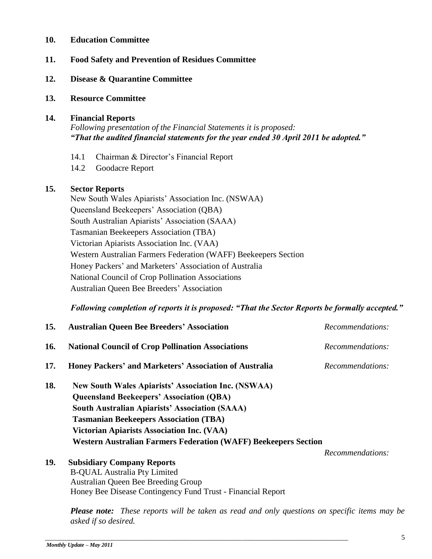#### **10. Education Committee**

#### **11. Food Safety and Prevention of Residues Committee**

- **12. Disease & Quarantine Committee**
- **13. Resource Committee**

#### **14. Financial Reports**

*Following presentation of the Financial Statements it is proposed: "That the audited financial statements for the year ended 30 April 2011 be adopted."*

- 14.1 Chairman & Director's Financial Report
- 14.2 Goodacre Report

#### **15. Sector Reports**

New South Wales Apiarists" Association Inc. (NSWAA) Queensland Beekeepers" Association (QBA) South Australian Apiarists" Association (SAAA) Tasmanian Beekeepers Association (TBA) Victorian Apiarists Association Inc. (VAA) Western Australian Farmers Federation (WAFF) Beekeepers Section Honey Packers" and Marketers" Association of Australia National Council of Crop Pollination Associations Australian Queen Bee Breeders" Association

*Following completion of reports it is proposed: "That the Sector Reports be formally accepted."*

| 15. | <b>Australian Queen Bee Breeders' Association</b>                      | Recommendations: |  |  |
|-----|------------------------------------------------------------------------|------------------|--|--|
| 16. | <b>National Council of Crop Pollination Associations</b>               | Recommendations: |  |  |
| 17. | Honey Packers' and Marketers' Association of Australia                 | Recommendations: |  |  |
| 18. | <b>New South Wales Apiarists' Association Inc. (NSWAA)</b>             |                  |  |  |
|     | <b>Queensland Beekeepers' Association (QBA)</b>                        |                  |  |  |
|     | <b>South Australian Apiarists' Association (SAAA)</b>                  |                  |  |  |
|     | <b>Tasmanian Beekeepers Association (TBA)</b>                          |                  |  |  |
|     | <b>Victorian Apiarists Association Inc. (VAA)</b>                      |                  |  |  |
|     | <b>Western Australian Farmers Federation (WAFF) Beekeepers Section</b> |                  |  |  |
|     |                                                                        | Recommendations: |  |  |
| 19. | <b>Subsidiary Company Reports</b>                                      |                  |  |  |
|     | <b>B-QUAL Australia Pty Limited</b>                                    |                  |  |  |
|     | Australian Queen Bee Breeding Group                                    |                  |  |  |

Australian Queen Bee Breeding Group Honey Bee Disease Contingency Fund Trust - Financial Report

\_\_\_\_\_\_\_\_\_\_\_\_\_\_\_\_\_\_\_\_\_\_\_\_\_\_\_\_\_\_\_\_\_\_\_\_\_\_\_\_\_\_\_\_\_\_\_\_\_\_\_\_\_\_\_\_\_\_\_\_\_\_\_\_\_\_\_\_\_\_\_\_\_\_\_\_\_\_\_\_\_\_\_\_\_\_

*Please note: These reports will be taken as read and only questions on specific items may be asked if so desired.*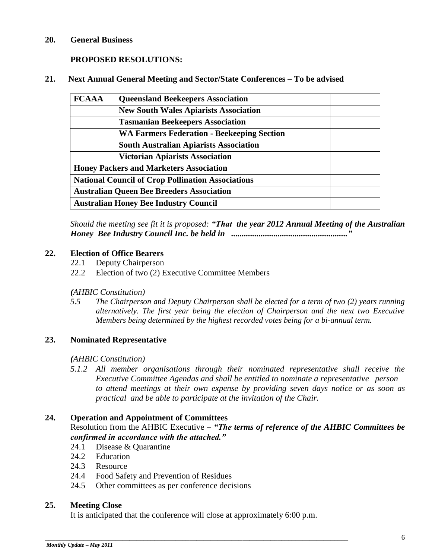#### **20. General Business**

#### **PROPOSED RESOLUTIONS:**

#### **21. Next Annual General Meeting and Sector/State Conferences – To be advised**

| <b>FCAAA</b>                                             | <b>Queensland Beekeepers Association</b>          |  |  |
|----------------------------------------------------------|---------------------------------------------------|--|--|
|                                                          | <b>New South Wales Apiarists Association</b>      |  |  |
|                                                          | <b>Tasmanian Beekeepers Association</b>           |  |  |
|                                                          | <b>WA Farmers Federation - Beekeeping Section</b> |  |  |
|                                                          | <b>South Australian Apiarists Association</b>     |  |  |
|                                                          | <b>Victorian Apiarists Association</b>            |  |  |
| <b>Honey Packers and Marketers Association</b>           |                                                   |  |  |
| <b>National Council of Crop Pollination Associations</b> |                                                   |  |  |
| <b>Australian Queen Bee Breeders Association</b>         |                                                   |  |  |
|                                                          | <b>Australian Honey Bee Industry Council</b>      |  |  |

*Should the meeting see fit it is proposed: "That the year 2012 Annual Meeting of the Australian Honey Bee Industry Council Inc. be held in ......................................................."*

#### **22. Election of Office Bearers**

- 22.1 Deputy Chairperson
- 22.2 Election of two (2) Executive Committee Members

#### *(AHBIC Constitution)*

*5.5 The Chairperson and Deputy Chairperson shall be elected for a term of two (2) years running alternatively. The first year being the election of Chairperson and the next two Executive Members being determined by the highest recorded votes being for a bi-annual term.*

#### **23. Nominated Representative**

#### *(AHBIC Constitution)*

*5.1.2 All member organisations through their nominated representative shall receive the Executive Committee Agendas and shall be entitled to nominate a representative person to attend meetings at their own expense by providing seven days notice or as soon as practical and be able to participate at the invitation of the Chair.*

#### **24. Operation and Appointment of Committees**

Resolution from the AHBIC Executive *– "The terms of reference of the AHBIC Committees be confirmed in accordance with the attached."*

- 24.1 Disease & Quarantine
- 24.2 Education
- 24.3 Resource
- 24.4 Food Safety and Prevention of Residues
- 24.5 Other committees as per conference decisions

#### **25. Meeting Close**

It is anticipated that the conference will close at approximately 6:00 p.m.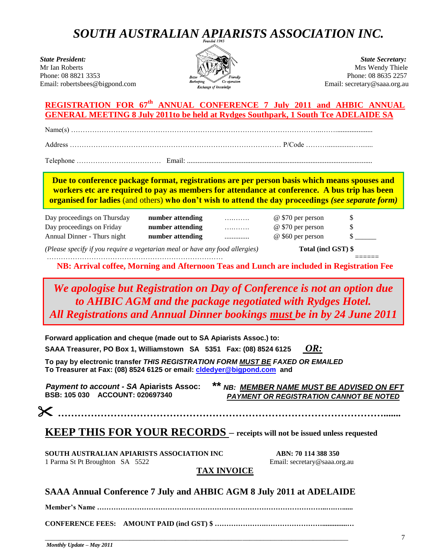# *SOUTH AUSTRALIAN APIARISTS ASSOCIATION INC.*

State President: State Secretary: State Secretary: State Secretary: State Secretary: State Secretary: State Secretary: State Secretary: State Secretary: State Secretary: State Secretary: State Secretary: State Secretary: S Phone: 08 8821 3353 Email: robertsbees@bigpond.com Beckering Eventual Email: secretary@saaa.org.au



Mrs Wendy Thiele<br>Phone: 08 8635 2257

#### **REGISTRATION FOR 67th ANNUAL CONFERENCE 7 July 2011 and AHBIC ANNUAL GENERAL MEETING 8 July 2011to be held at Rydges Southpark, 1 South Tce ADELAIDE SA**

Name(s) ……………………………………………………………………………………………..…….....................

Address ……………………………………………………………………………… P/Code ………...............….......

Telephone ……………………………… Email: .........................................................................................................

**Due to conference package format, registrations are per person basis which means spouses and workers etc are required to pay as members for attendance at conference. A bus trip has been organised for ladies** (and others) **who don't wish to attend the day proceedings** *(see separate form)*

| Day proceedings on Thursday | number attending | . | @ \$70 per person |  |
|-----------------------------|------------------|---|-------------------|--|
| Day proceedings on Friday   | number attending | . | @ \$70 per person |  |
| Annual Dinner - Thurs night | number attending | . | @ \$60 per person |  |

*(Please specify if you require a vegetarian meal or have any food allergies)* **Total (incl GST) \$**

………………………………………………………………… ======

**NB: Arrival coffee, Morning and Afternoon Teas and Lunch are included in Registration Fee**

 *All Registrations and Annual Dinner bookings must be in by 24 June 2011 We apologise but Registration on Day of Conference is not an option due to AHBIC AGM and the package negotiated with Rydges Hotel.*

**Forward application and cheque (made out to SA Apiarists Assoc.) to:** 

**SAAA Treasurer, PO Box 1, Williamstown SA 5351 Fax: (08) 8524 6125** *OR:*

**To pay by electronic transfer** *THIS REGISTRATION FORM MUST BE FAXED OR EMAILED*  **To Treasurer at Fax: (08) 8524 6125 or email: [cldedyer@bigpond.com](mailto:cldedyer@bigpond.com) and**

*Payment to account - SA* **Apiarists Assoc: BSB: 105 030 ACCOUNT: 020697340**

*\*\* NB: MEMBER NAME MUST BE ADVISED ON EFT PAYMENT OR REGISTRATION CANNOT BE NOTED*

**……………………………………………………………………………………….......**

## **KEEP THIS FOR YOUR RECORDS – receipts will not be issued unless requested**

**SOUTH AUSTRALIAN APIARISTS ASSOCIATION INC ABN: 70 114 388 350**

1 Parma St Pt Broughton SA 5522 Email: secretary@saaa.org.au

#### **TAX INVOICE**

**SAAA Annual Conference 7 July and AHBIC AGM 8 July 2011 at ADELAIDE** 

**Member's Name ……………………………………………………………………………………..….…......**

**CONFERENCE FEES: AMOUNT PAID (incl GST) \$ ………………….……………………..............…**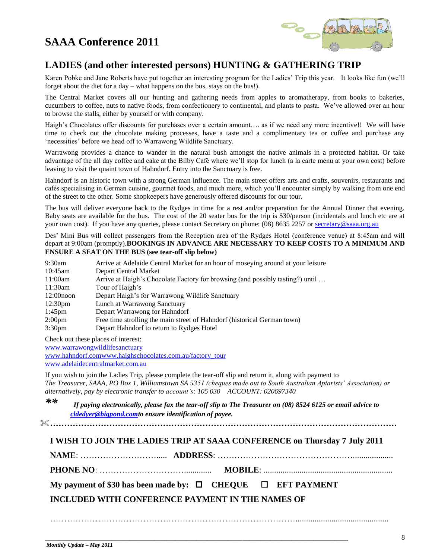# **SAAA Conference 2011**



## **LADIES (and other interested persons) HUNTING & GATHERING TRIP**

Karen Pobke and Jane Roberts have put together an interesting program for the Ladies" Trip this year. It looks like fun (we"ll forget about the diet for a day – what happens on the bus, stays on the bus!).

The Central Market covers all our hunting and gathering needs from apples to aromatherapy, from books to bakeries, cucumbers to coffee, nuts to native foods, from confectionery to continental, and plants to pasta. We"ve allowed over an hour to browse the stalls, either by yourself or with company.

Haigh's Chocolates offer discounts for purchases over a certain amount.... as if we need any more incentive!! We will have time to check out the chocolate making processes, have a taste and a complimentary tea or coffee and purchase any "necessities" before we head off to Warrawong Wildlife Sanctuary.

Warrawong provides a chance to wander in the natural bush amongst the native animals in a protected habitat. Or take advantage of the all day coffee and cake at the Bilby Café where we"ll stop for lunch (a la carte menu at your own cost) before leaving to visit the quaint town of Hahndorf. Entry into the Sanctuary is free.

Hahndorf is an historic town with a strong German influence. The main street offers arts and crafts, souvenirs, restaurants and cafés specialising in German cuisine, gourmet foods, and much more, which you"ll encounter simply by walking from one end of the street to the other. Some shopkeepers have generously offered discounts for our tour.

The bus will deliver everyone back to the Rydges in time for a rest and/or preparation for the Annual Dinner that evening. Baby seats are available for the bus. The cost of the 20 seater bus for the trip is \$30/person (incidentals and lunch etc are at your own cost). If you have any queries, please contact Secretary on phone: (08) 8635 2257 o[r secretary@saaa.org.au](mailto:secretary@saaa.org.au)

Des" Mini Bus will collect passengers from the Reception area of the Rydges Hotel (conference venue) at 8:45am and will depart at 9:00am (promptly).**BOOKINGS IN ADVANCE ARE NECESSARY TO KEEP COSTS TO A MINIMUM AND ENSURE A SEAT ON THE BUS (see tear-off slip below)**

| 9:30am             | Arrive at Adelaide Central Market for an hour of moseying around at your leisure |
|--------------------|----------------------------------------------------------------------------------|
| $10:45$ am         | Depart Central Market                                                            |
| 11:00am            | Arrive at Haigh's Chocolate Factory for browsing (and possibly tasting?) until   |
| 11:30am            | Tour of Haigh's                                                                  |
| $12:00$ noon       | Depart Haigh's for Warrawong Wildlife Sanctuary                                  |
| $12:30 \text{pm}$  | Lunch at Warrawong Sanctuary                                                     |
| $1:45 \text{pm}$   | Depart Warrawong for Hahndorf                                                    |
| 2:00 <sub>pm</sub> | Free time strolling the main street of Hahndorf (historical German town)         |
| 3:30 <sub>pm</sub> | Depart Hahndorf to return to Rydges Hotel                                        |

Check out these places of interest:

[www.warrawongwildlifesanctuary](http://www.warrawongwildlifesanctuary/)

www.hahndorf.co[mwww.haighschocolates.com.au/factory\\_tour](http://www.haighschocolates.com.au/factory_tour) [www.adelaidecentralmarket.com.au](http://www.adelaidecentralmarket.com.au/)

If you wish to join the Ladies Trip, please complete the tear-off slip and return it, along with payment to *The Treasurer, SAAA, PO Box 1, Williamstown SA 5351 (cheques made out to South Australian Apiarists' Association) or alternatively, pay by electronic transfer to account's: 105 030 ACCOUNT: 020697340*

*\*\* If paying electronically, please fax the tear-off slip to The Treasurer on (08) 8524 6125 or email advice to [cldedyer@bigpond.comt](mailto:cldedyer@bigpond.com)o ensure identification of payee.*

**……………………………………………………………………………………………………………**

#### **I WISH TO JOIN THE LADIES TRIP AT SAAA CONFERENCE on Thursday 7 July 2011**

**NAME**: ………………………..... **ADDRESS**: …………………………………………...................

**PHONE NO**: …………………………............. **MOBILE**: .............................................................

……………………………………………………………………………............................................

#### **My payment of \$30 has been made by: CHEQUE EFT PAYMENT**

\_\_\_\_\_\_\_\_\_\_\_\_\_\_\_\_\_\_\_\_\_\_\_\_\_\_\_\_\_\_\_\_\_\_\_\_\_\_\_\_\_\_\_\_\_\_\_\_\_\_\_\_\_\_\_\_\_\_\_\_\_\_\_\_\_\_\_\_\_\_\_\_\_\_\_\_\_\_\_\_\_\_\_\_\_\_

**INCLUDED WITH CONFERENCE PAYMENT IN THE NAMES OF**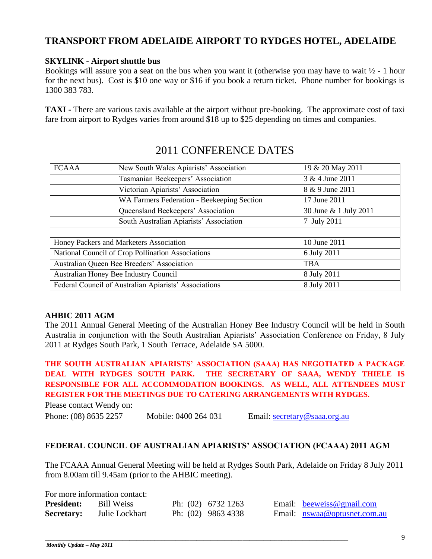## **TRANSPORT FROM ADELAIDE AIRPORT TO RYDGES HOTEL, ADELAIDE**

#### **SKYLINK - Airport shuttle bus**

Bookings will assure you a seat on the bus when you want it (otherwise you may have to wait  $\frac{1}{2}$  - 1 hour for the next bus). Cost is \$10 one way or \$16 if you book a return ticket. Phone number for bookings is 1300 383 783.

**TAXI -** There are various taxis available at the airport without pre-booking. The approximate cost of taxi fare from airport to Rydges varies from around \$18 up to \$25 depending on times and companies.

| <b>FCAAA</b>                                                         | New South Wales Apiarists' Association  | 19 & 20 May 2011      |
|----------------------------------------------------------------------|-----------------------------------------|-----------------------|
|                                                                      | Tasmanian Beekeepers' Association       | 3 & 4 June 2011       |
| Victorian Apiarists' Association                                     |                                         | 8 & 9 June 2011       |
| WA Farmers Federation - Beekeeping Section                           |                                         | 17 June 2011          |
|                                                                      | Queensland Beekeepers' Association      | 30 June & 1 July 2011 |
|                                                                      | South Australian Apiarists' Association | 7 July 2011           |
|                                                                      |                                         |                       |
| Honey Packers and Marketers Association                              |                                         | 10 June 2011          |
| National Council of Crop Pollination Associations                    |                                         | 6 July 2011           |
| Australian Queen Bee Breeders' Association                           |                                         | <b>TBA</b>            |
| Australian Honey Bee Industry Council<br>8 July 2011                 |                                         |                       |
| Federal Council of Australian Apiarists' Associations<br>8 July 2011 |                                         |                       |

## 2011 CONFERENCE DATES

#### **AHBIC 2011 AGM**

The 2011 Annual General Meeting of the Australian Honey Bee Industry Council will be held in South Australia in conjunction with the South Australian Apiarists" Association Conference on Friday, 8 July 2011 at Rydges South Park, 1 South Terrace, Adelaide SA 5000.

**THE SOUTH AUSTRALIAN APIARISTS' ASSOCIATION (SAAA) HAS NEGOTIATED A PACKAGE DEAL WITH RYDGES SOUTH PARK. THE SECRETARY OF SAAA, WENDY THIELE IS RESPONSIBLE FOR ALL ACCOMMODATION BOOKINGS. AS WELL, ALL ATTENDEES MUST REGISTER FOR THE MEETINGS DUE TO CATERING ARRANGEMENTS WITH RYDGES.** 

Please contact Wendy on:

Phone: (08) 8635 2257 Mobile: 0400 264 031 Email: [secretary@saaa.org.au](mailto:secretary@saaa.org.au)

#### **FEDERAL COUNCIL OF AUSTRALIAN APIARISTS' ASSOCIATION (FCAAA) 2011 AGM**

The FCAAA Annual General Meeting will be held at Rydges South Park, Adelaide on Friday 8 July 2011 from 8.00am till 9.45am (prior to the AHBIC meeting).

| For more information contact: |                   |  |                      |  |                              |
|-------------------------------|-------------------|--|----------------------|--|------------------------------|
| <b>President:</b>             | <b>Bill Weiss</b> |  | Ph: $(02)$ 6732 1263 |  | Email: beeweiss@gmail.com    |
| <b>Secretary:</b>             | Julie Lockhart    |  | Ph: (02) 9863 4338   |  | Email: nswaa@optusnet.com.au |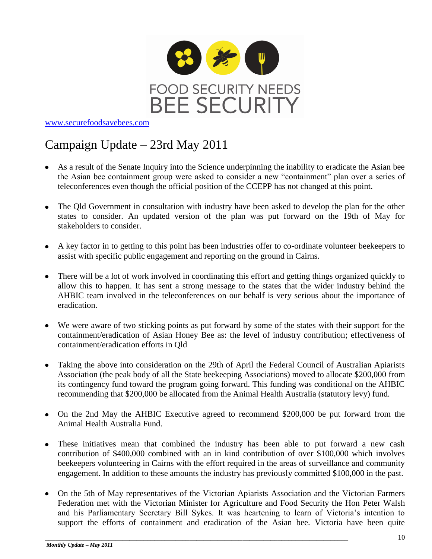

[www.securefoodsavebees.com](http://www.securefoodsavebees.com/)

# Campaign Update – 23rd May 2011

- As a result of the Senate Inquiry into the Science underpinning the inability to eradicate the Asian bee the Asian bee containment group were asked to consider a new "containment" plan over a series of teleconferences even though the official position of the CCEPP has not changed at this point.
- The Qld Government in consultation with industry have been asked to develop the plan for the other states to consider. An updated version of the plan was put forward on the 19th of May for stakeholders to consider.
- A key factor in to getting to this point has been industries offer to co-ordinate volunteer beekeepers to assist with specific public engagement and reporting on the ground in Cairns.
- There will be a lot of work involved in coordinating this effort and getting things organized quickly to allow this to happen. It has sent a strong message to the states that the wider industry behind the AHBIC team involved in the teleconferences on our behalf is very serious about the importance of eradication.
- We were aware of two sticking points as put forward by some of the states with their support for the containment/eradication of Asian Honey Bee as: the level of industry contribution; effectiveness of containment/eradication efforts in Qld
- Taking the above into consideration on the 29th of April the Federal Council of Australian Apiarists Association (the peak body of all the State beekeeping Associations) moved to allocate \$200,000 from its contingency fund toward the program going forward. This funding was conditional on the AHBIC recommending that \$200,000 be allocated from the Animal Health Australia (statutory levy) fund.
- On the 2nd May the AHBIC Executive agreed to recommend \$200,000 be put forward from the Animal Health Australia Fund.
- These initiatives mean that combined the industry has been able to put forward a new cash contribution of \$400,000 combined with an in kind contribution of over \$100,000 which involves beekeepers volunteering in Cairns with the effort required in the areas of surveillance and community engagement. In addition to these amounts the industry has previously committed \$100,000 in the past.
- On the 5th of May representatives of the Victorian Apiarists Association and the Victorian Farmers Federation met with the Victorian Minister for Agriculture and Food Security the Hon Peter Walsh and his Parliamentary Secretary Bill Sykes. It was heartening to learn of Victoria's intention to support the efforts of containment and eradication of the Asian bee. Victoria have been quite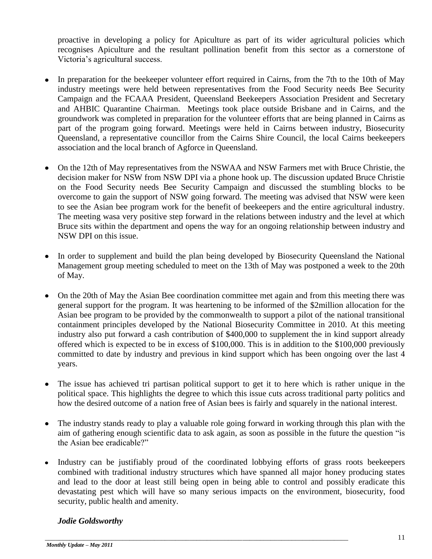proactive in developing a policy for Apiculture as part of its wider agricultural policies which recognises Apiculture and the resultant pollination benefit from this sector as a cornerstone of Victoria"s agricultural success.

- In preparation for the beekeeper volunteer effort required in Cairns, from the 7th to the 10th of May industry meetings were held between representatives from the Food Security needs Bee Security Campaign and the FCAAA President, Queensland Beekeepers Association President and Secretary and AHBIC Quarantine Chairman. Meetings took place outside Brisbane and in Cairns, and the groundwork was completed in preparation for the volunteer efforts that are being planned in Cairns as part of the program going forward. Meetings were held in Cairns between industry, Biosecurity Queensland, a representative councillor from the Cairns Shire Council, the local Cairns beekeepers association and the local branch of Agforce in Queensland.
- On the 12th of May representatives from the NSWAA and NSW Farmers met with Bruce Christie, the decision maker for NSW from NSW DPI via a phone hook up. The discussion updated Bruce Christie on the Food Security needs Bee Security Campaign and discussed the stumbling blocks to be overcome to gain the support of NSW going forward. The meeting was advised that NSW were keen to see the Asian bee program work for the benefit of beekeepers and the entire agricultural industry. The meeting wasa very positive step forward in the relations between industry and the level at which Bruce sits within the department and opens the way for an ongoing relationship between industry and NSW DPI on this issue.
- In order to supplement and build the plan being developed by Biosecurity Queensland the National Management group meeting scheduled to meet on the 13th of May was postponed a week to the 20th of May.
- On the 20th of May the Asian Bee coordination committee met again and from this meeting there was general support for the program. It was heartening to be informed of the \$2million allocation for the Asian bee program to be provided by the commonwealth to support a pilot of the national transitional containment principles developed by the National Biosecurity Committee in 2010. At this meeting industry also put forward a cash contribution of \$400,000 to supplement the in kind support already offered which is expected to be in excess of \$100,000. This is in addition to the \$100,000 previously committed to date by industry and previous in kind support which has been ongoing over the last 4 years.
- The issue has achieved tri partisan political support to get it to here which is rather unique in the political space. This highlights the degree to which this issue cuts across traditional party politics and how the desired outcome of a nation free of Asian bees is fairly and squarely in the national interest.
- The industry stands ready to play a valuable role going forward in working through this plan with the aim of gathering enough scientific data to ask again, as soon as possible in the future the question "is the Asian bee eradicable?"
- Industry can be justifiably proud of the coordinated lobbying efforts of grass roots beekeepers combined with traditional industry structures which have spanned all major honey producing states and lead to the door at least still being open in being able to control and possibly eradicate this devastating pest which will have so many serious impacts on the environment, biosecurity, food security, public health and amenity.

\_\_\_\_\_\_\_\_\_\_\_\_\_\_\_\_\_\_\_\_\_\_\_\_\_\_\_\_\_\_\_\_\_\_\_\_\_\_\_\_\_\_\_\_\_\_\_\_\_\_\_\_\_\_\_\_\_\_\_\_\_\_\_\_\_\_\_\_\_\_\_\_\_\_\_\_\_\_\_\_\_\_\_\_\_\_

#### *Jodie Goldsworthy*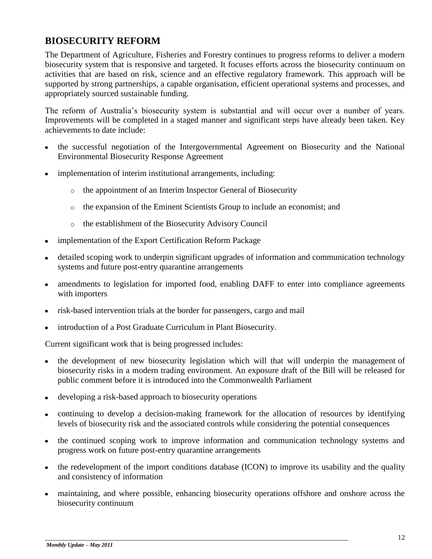## **BIOSECURITY REFORM**

The Department of Agriculture, Fisheries and Forestry continues to progress reforms to deliver a modern biosecurity system that is responsive and targeted. It focuses efforts across the biosecurity continuum on activities that are based on risk, science and an effective regulatory framework. This approach will be supported by strong partnerships, a capable organisation, efficient operational systems and processes, and appropriately sourced sustainable funding.

The reform of Australia"s biosecurity system is substantial and will occur over a number of years. Improvements will be completed in a staged manner and significant steps have already been taken. Key achievements to date include:

- the successful negotiation of the Intergovernmental Agreement on Biosecurity and the National Environmental Biosecurity Response Agreement
- implementation of interim institutional arrangements, including:
	- o the appointment of an [Interim Inspector General of Biosecurity](http://www.daff.gov.au/about/publications/interim-inspector-general-of-biosecurity)
	- o the expansion of the [Eminent Scientists Group](http://www.daff.gov.au/about/contactus/corp-policy/eminent_scientists_group) to include an economist; and
	- o the establishment of the [Biosecurity Advisory Council](http://www.daff.gov.au/biosecurity-advisory-council)
- implementation of the [Export Certification Reform Package](http://www.daff.gov.au/aqis/export/export_certification_reform_package)
- detailed scoping work to underpin significant upgrades of information and communication technology systems and [future post-entry quarantine arrangements](http://www.daff.gov.au/aqis/quarantine/future-post-entry-quarantine-arrangements)
- amendments to legislation for [imported food,](http://www.daff.gov.au/aqis/import/food/food_import_compliance_agreements_fica) enabling DAFF to enter into compliance agreements  $\bullet$ with importers
- risk-based intervention trials at the border for passengers, cargo and mail
- introduction of a [Post Graduate Curriculum in Plant Biosecurity.](http://plantbiosecurity.edu.au/)

Current significant work that is being progressed includes:

- the development of new biosecurity legislation which will that will underpin the management of biosecurity risks in a modern trading environment. An exposure draft of the Bill will be released for public comment before it is introduced into the Commonwealth Parliament
- developing a risk-based approach to biosecurity operations  $\bullet$
- continuing to develop a decision-making framework for the allocation of resources by identifying levels of biosecurity risk and the associated controls while considering the potential consequences
- the continued scoping work to improve information and communication technology systems and  $\bullet$ progress work on future post-entry quarantine arrangements
- the redevelopment of the import conditions database (ICON) to improve its usability and the quality  $\bullet$ and consistency of information
- maintaining, and where possible, enhancing biosecurity operations offshore and onshore across the biosecurity continuum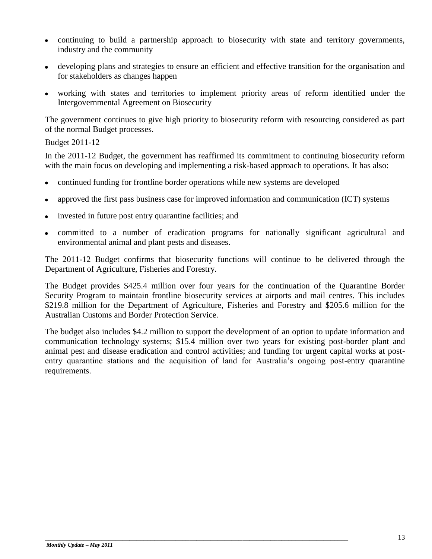- continuing to build a partnership approach to biosecurity with state and territory governments, industry and the community
- developing plans and strategies to ensure an efficient and effective transition for the organisation and for stakeholders as changes happen
- working with states and territories to implement priority areas of reform identified under the Intergovernmental Agreement on Biosecurity

The government continues to give high priority to biosecurity reform with resourcing considered as part of the normal Budget processes.

Budget 2011-12

In the 2011-12 Budget, the government has reaffirmed its commitment to continuing biosecurity reform with the main focus on developing and implementing a risk-based approach to operations. It has also:

- continued funding for frontline border operations while new systems are developed
- approved the first pass business case for improved information and communication (ICT) systems
- invested in future post entry quarantine facilities; and
- committed to a number of eradication programs for nationally significant agricultural and environmental animal and plant pests and diseases.

The 2011-12 Budget confirms that biosecurity functions will continue to be delivered through the Department of Agriculture, Fisheries and Forestry.

The Budget provides \$425.4 million over four years for the continuation of the Quarantine Border Security Program to maintain frontline biosecurity services at airports and mail centres. This includes \$219.8 million for the Department of Agriculture, Fisheries and Forestry and \$205.6 million for the Australian Customs and Border Protection Service.

The budget also includes \$4.2 million to support the development of an option to update information and communication technology systems; \$15.4 million over two years for existing post-border plant and animal pest and disease eradication and control activities; and funding for urgent capital works at postentry quarantine stations and the acquisition of land for Australia's ongoing post-entry quarantine requirements.